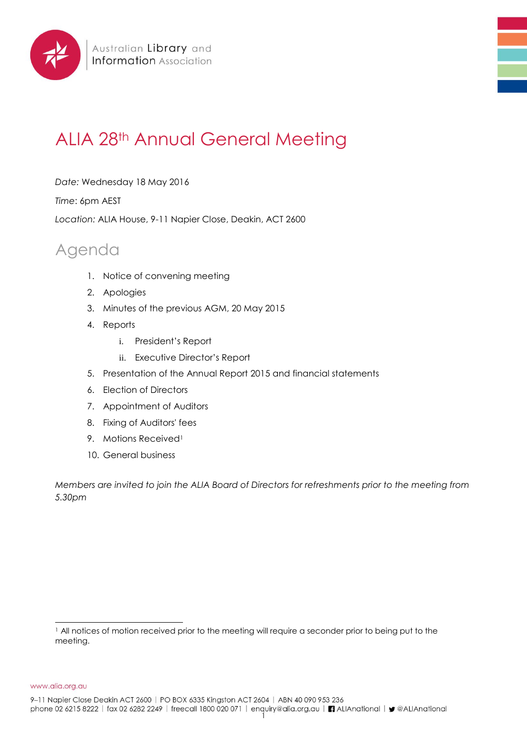

## ALIA 28<sup>th</sup> Annual General Meeting

*Date:* Wednesday 18 May 2016

*Time*: 6pm AEST

*Location:* ALIA House, 9-11 Napier Close, Deakin, ACT 2600

## Agenda

- 1. Notice of convening meeting
- 2. Apologies
- 3. Minutes of the previous AGM, 20 May 2015
- 4. Reports
	- i. President's Report
	- ii. Executive Director's Report
- 5. Presentation of the Annual Report 2015 and financial statements
- 6. Election of Directors
- 7. Appointment of Auditors
- 8. Fixing of Auditors' fees
- 9. Motions Received<sup>1</sup>
- 10. General business

*Members are invited to join the ALIA Board of Directors for refreshments prior to the meeting from 5.30pm*

www.alia.org.au

l <sup>1</sup> All notices of motion received prior to the meeting will require a seconder prior to being put to the meeting.